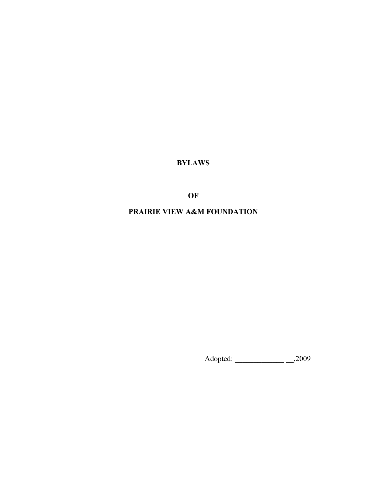**BYLAWS**

**OF**

**PRAIRIE VIEW A&M FOUNDATION**

Adopted: \_\_\_\_\_\_\_\_\_\_\_\_\_ \_\_,2009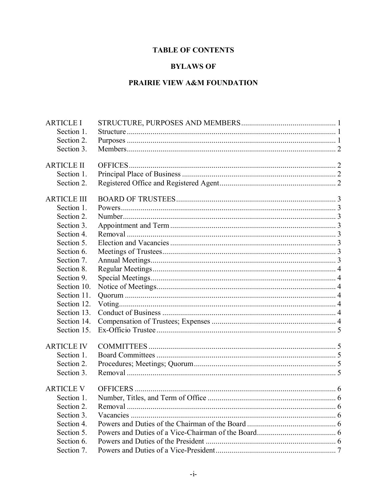# **TABLE OF CONTENTS**

# **BYLAWS OF**

# PRAIRIE VIEW A&M FOUNDATION

| <b>ARTICLE I</b>   |  |
|--------------------|--|
| Section 1.         |  |
| Section 2.         |  |
| Section 3.         |  |
|                    |  |
| <b>ARTICLE II</b>  |  |
| Section 1.         |  |
| Section 2.         |  |
| <b>ARTICLE III</b> |  |
| Section 1.         |  |
| Section 2.         |  |
| Section 3.         |  |
| Section 4.         |  |
| Section 5.         |  |
| Section 6.         |  |
| Section 7.         |  |
| Section 8.         |  |
| Section 9.         |  |
| Section 10.        |  |
| Section 11.        |  |
| Section 12.        |  |
| Section 13.        |  |
| Section 14.        |  |
| Section 15.        |  |
| <b>ARTICLE IV</b>  |  |
| Section 1.         |  |
| Section 2.         |  |
| Section 3.         |  |
| <b>ARTICLE V</b>   |  |
| Section 1.         |  |
| Section 2.         |  |
| Section 3.         |  |
| Section 4.         |  |
| Section 5.         |  |
| Section 6.         |  |
| Section 7.         |  |
|                    |  |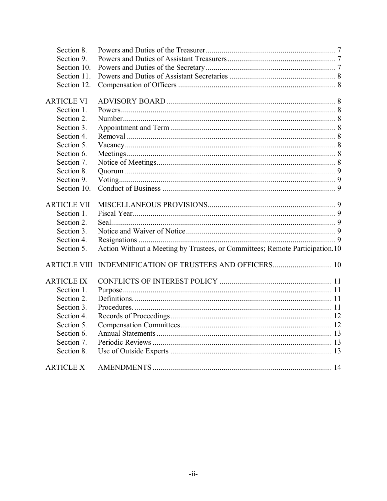| Section 8.         |                                                                              |  |
|--------------------|------------------------------------------------------------------------------|--|
| Section 9.         |                                                                              |  |
| Section 10.        |                                                                              |  |
| Section 11.        |                                                                              |  |
| Section 12.        |                                                                              |  |
| <b>ARTICLE VI</b>  |                                                                              |  |
| Section 1.         |                                                                              |  |
| Section 2.         |                                                                              |  |
| Section 3.         |                                                                              |  |
| Section 4.         |                                                                              |  |
| Section 5.         |                                                                              |  |
| Section 6.         |                                                                              |  |
| Section 7.         |                                                                              |  |
| Section 8.         |                                                                              |  |
| Section 9.         |                                                                              |  |
| Section 10.        |                                                                              |  |
| <b>ARTICLE VII</b> |                                                                              |  |
| Section 1.         |                                                                              |  |
| Section 2.         |                                                                              |  |
| Section 3.         |                                                                              |  |
| Section 4.         |                                                                              |  |
| Section 5.         | Action Without a Meeting by Trustees, or Committees; Remote Participation.10 |  |
|                    |                                                                              |  |
| <b>ARTICLE IX</b>  |                                                                              |  |
| Section 1.         |                                                                              |  |
| Section 2.         |                                                                              |  |
| Section 3.         |                                                                              |  |
| Section 4.         |                                                                              |  |
| Section 5.         |                                                                              |  |
| Section 6.         |                                                                              |  |
| Section 7.         |                                                                              |  |
| Section 8.         |                                                                              |  |
| <b>ARTICLE X</b>   |                                                                              |  |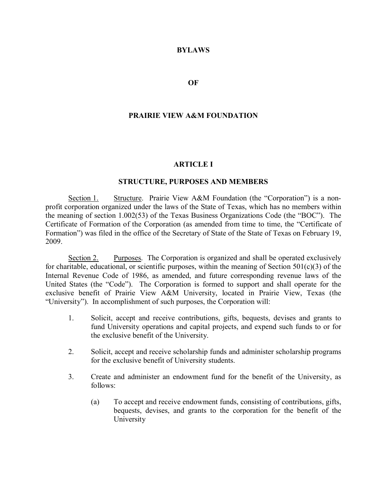#### **BYLAWS**

**OF**

#### **PRAIRIE VIEW A&M FOUNDATION**

#### **ARTICLE I**

#### **STRUCTURE, PURPOSES AND MEMBERS**

Section 1. Structure. Prairie View A&M Foundation (the "Corporation") is a nonprofit corporation organized under the laws of the State of Texas, which has no members within the meaning of section 1.002(53) of the Texas Business Organizations Code (the "BOC"). The Certificate of Formation of the Corporation (as amended from time to time, the "Certificate of Formation") was filed in the office of the Secretary of State of the State of Texas on February 19, 2009.

Section 2. Purposes. The Corporation is organized and shall be operated exclusively for charitable, educational, or scientific purposes, within the meaning of Section  $501(c)(3)$  of the Internal Revenue Code of 1986, as amended, and future corresponding revenue laws of the United States (the "Code"). The Corporation is formed to support and shall operate for the exclusive benefit of Prairie View A&M University, located in Prairie View, Texas (the "University"). In accomplishment of such purposes, the Corporation will:

- 1. Solicit, accept and receive contributions, gifts, bequests, devises and grants to fund University operations and capital projects, and expend such funds to or for the exclusive benefit of the University.
- 2. Solicit, accept and receive scholarship funds and administer scholarship programs for the exclusive benefit of University students.
- 3. Create and administer an endowment fund for the benefit of the University, as follows:
	- (a) To accept and receive endowment funds, consisting of contributions, gifts, bequests, devises, and grants to the corporation for the benefit of the University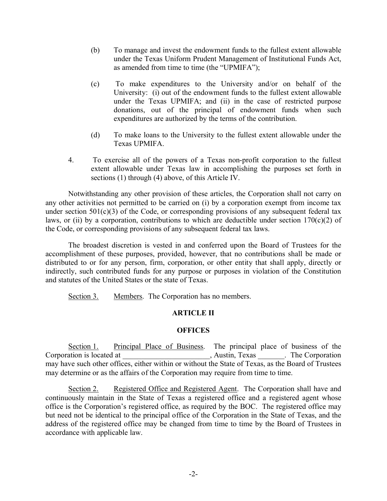- (b) To manage and invest the endowment funds to the fullest extent allowable under the Texas Uniform Prudent Management of Institutional Funds Act, as amended from time to time (the "UPMIFA");
- (c) To make expenditures to the University and/or on behalf of the University: (i) out of the endowment funds to the fullest extent allowable under the Texas UPMIFA; and (ii) in the case of restricted purpose donations, out of the principal of endowment funds when such expenditures are authorized by the terms of the contribution.
- (d) To make loans to the University to the fullest extent allowable under the Texas UPMIFA.
- 4. To exercise all of the powers of a Texas non-profit corporation to the fullest extent allowable under Texas law in accomplishing the purposes set forth in sections (1) through (4) above, of this Article IV.

Notwithstanding any other provision of these articles, the Corporation shall not carry on any other activities not permitted to be carried on (i) by a corporation exempt from income tax under section  $501(c)(3)$  of the Code, or corresponding provisions of any subsequent federal tax laws, or (ii) by a corporation, contributions to which are deductible under section  $170(c)(2)$  of the Code, or corresponding provisions of any subsequent federal tax laws.

The broadest discretion is vested in and conferred upon the Board of Trustees for the accomplishment of these purposes, provided, however, that no contributions shall be made or distributed to or for any person, firm, corporation, or other entity that shall apply, directly or indirectly, such contributed funds for any purpose or purposes in violation of the Constitution and statutes of the United States or the state of Texas.

Section 3. Members. The Corporation has no members.

# **ARTICLE II**

# **OFFICES**

Section 1. Principal Place of Business. The principal place of business of the Corporation is located at  $\qquad \qquad$ , Austin, Texas  $\qquad \qquad$ . The Corporation may have such other offices, either within or without the State of Texas, as the Board of Trustees may determine or as the affairs of the Corporation may require from time to time.

Section 2. Registered Office and Registered Agent. The Corporation shall have and continuously maintain in the State of Texas a registered office and a registered agent whose office is the Corporation's registered office, as required by the BOC. The registered office may but need not be identical to the principal office of the Corporation in the State of Texas, and the address of the registered office may be changed from time to time by the Board of Trustees in accordance with applicable law.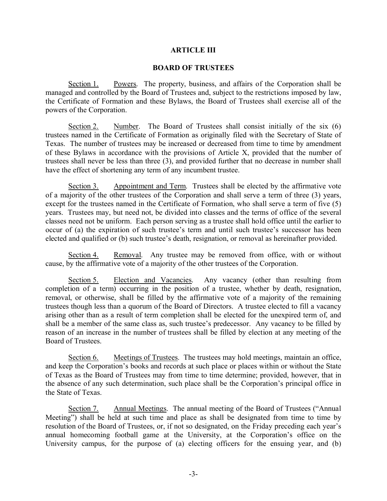#### **ARTICLE III**

#### **BOARD OF TRUSTEES**

Section 1. Powers. The property, business, and affairs of the Corporation shall be managed and controlled by the Board of Trustees and, subject to the restrictions imposed by law, the Certificate of Formation and these Bylaws, the Board of Trustees shall exercise all of the powers of the Corporation.

Section 2. Number. The Board of Trustees shall consist initially of the six (6) trustees named in the Certificate of Formation as originally filed with the Secretary of State of Texas. The number of trustees may be increased or decreased from time to time by amendment of these Bylaws in accordance with the provisions of Article X, provided that the number of trustees shall never be less than three (3), and provided further that no decrease in number shall have the effect of shortening any term of any incumbent trustee.

Section 3. Appointment and Term. Trustees shall be elected by the affirmative vote of a majority of the other trustees of the Corporation and shall serve a term of three (3) years, except for the trustees named in the Certificate of Formation, who shall serve a term of five (5) years. Trustees may, but need not, be divided into classes and the terms of office of the several classes need not be uniform. Each person serving as a trustee shall hold office until the earlier to occur of (a) the expiration of such trustee's term and until such trustee's successor has been elected and qualified or (b) such trustee's death, resignation, or removal as hereinafter provided.

Section 4. Removal. Any trustee may be removed from office, with or without cause, by the affirmative vote of a majority of the other trustees of the Corporation.

Section 5. Election and Vacancies. Any vacancy (other than resulting from completion of a term) occurring in the position of a trustee, whether by death, resignation, removal, or otherwise, shall be filled by the affirmative vote of a majority of the remaining trustees though less than a quorum of the Board of Directors. A trustee elected to fill a vacancy arising other than as a result of term completion shall be elected for the unexpired term of, and shall be a member of the same class as, such trustee's predecessor. Any vacancy to be filled by reason of an increase in the number of trustees shall be filled by election at any meeting of the Board of Trustees.

Section 6. Meetings of Trustees. The trustees may hold meetings, maintain an office, and keep the Corporation's books and records at such place or places within or without the State of Texas as the Board of Trustees may from time to time determine; provided, however, that in the absence of any such determination, such place shall be the Corporation's principal office in the State of Texas.

Section 7. Annual Meetings. The annual meeting of the Board of Trustees ("Annual Meeting") shall be held at such time and place as shall be designated from time to time by resolution of the Board of Trustees, or, if not so designated, on the Friday preceding each year's annual homecoming football game at the University, at the Corporation's office on the University campus, for the purpose of (a) electing officers for the ensuing year, and (b)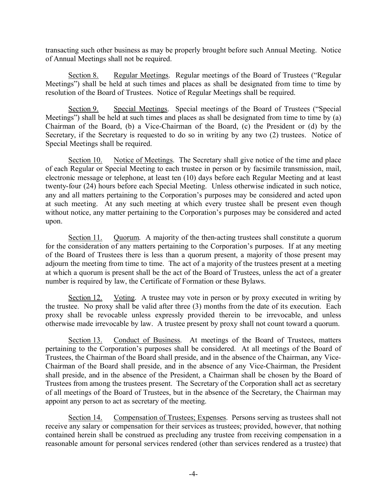transacting such other business as may be properly brought before such Annual Meeting. Notice of Annual Meetings shall not be required.

Section 8. Regular Meetings. Regular meetings of the Board of Trustees ("Regular Meetings") shall be held at such times and places as shall be designated from time to time by resolution of the Board of Trustees. Notice of Regular Meetings shall be required.

Section 9. Special Meetings. Special meetings of the Board of Trustees ("Special Meetings") shall be held at such times and places as shall be designated from time to time by (a) Chairman of the Board, (b) a Vice-Chairman of the Board, (c) the President or (d) by the Secretary, if the Secretary is requested to do so in writing by any two (2) trustees. Notice of Special Meetings shall be required.

Section 10. Notice of Meetings. The Secretary shall give notice of the time and place of each Regular or Special Meeting to each trustee in person or by facsimile transmission, mail, electronic message or telephone, at least ten (10) days before each Regular Meeting and at least twenty-four (24) hours before each Special Meeting. Unless otherwise indicated in such notice, any and all matters pertaining to the Corporation's purposes may be considered and acted upon at such meeting. At any such meeting at which every trustee shall be present even though without notice, any matter pertaining to the Corporation's purposes may be considered and acted upon.

Section 11. Quorum. A majority of the then-acting trustees shall constitute a quorum for the consideration of any matters pertaining to the Corporation's purposes. If at any meeting of the Board of Trustees there is less than a quorum present, a majority of those present may adjourn the meeting from time to time. The act of a majority of the trustees present at a meeting at which a quorum is present shall be the act of the Board of Trustees, unless the act of a greater number is required by law, the Certificate of Formation or these Bylaws.

Section 12. Voting. A trustee may vote in person or by proxy executed in writing by the trustee. No proxy shall be valid after three (3) months from the date of its execution. Each proxy shall be revocable unless expressly provided therein to be irrevocable, and unless otherwise made irrevocable by law. A trustee present by proxy shall not count toward a quorum.

Section 13. Conduct of Business. At meetings of the Board of Trustees, matters pertaining to the Corporation's purposes shall be considered. At all meetings of the Board of Trustees, the Chairman of the Board shall preside, and in the absence of the Chairman, any Vice-Chairman of the Board shall preside, and in the absence of any Vice-Chairman, the President shall preside, and in the absence of the President, a Chairman shall be chosen by the Board of Trustees from among the trustees present. The Secretary of the Corporation shall act as secretary of all meetings of the Board of Trustees, but in the absence of the Secretary, the Chairman may appoint any person to act as secretary of the meeting.

Section 14. Compensation of Trustees; Expenses. Persons serving as trustees shall not receive any salary or compensation for their services as trustees; provided, however, that nothing contained herein shall be construed as precluding any trustee from receiving compensation in a reasonable amount for personal services rendered (other than services rendered as a trustee) that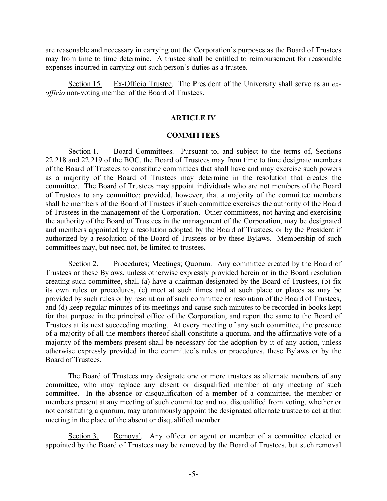are reasonable and necessary in carrying out the Corporation's purposes as the Board of Trustees may from time to time determine. A trustee shall be entitled to reimbursement for reasonable expenses incurred in carrying out such person's duties as a trustee.

Section 15. Ex-Officio Trustee. The President of the University shall serve as an *exofficio* non-voting member of the Board of Trustees.

#### **ARTICLE IV**

#### **COMMITTEES**

Section 1. Board Committees. Pursuant to, and subject to the terms of, Sections 22.218 and 22.219 of the BOC, the Board of Trustees may from time to time designate members of the Board of Trustees to constitute committees that shall have and may exercise such powers as a majority of the Board of Trustees may determine in the resolution that creates the committee. The Board of Trustees may appoint individuals who are not members of the Board of Trustees to any committee; provided, however, that a majority of the committee members shall be members of the Board of Trustees if such committee exercises the authority of the Board of Trustees in the management of the Corporation. Other committees, not having and exercising the authority of the Board of Trustees in the management of the Corporation, may be designated and members appointed by a resolution adopted by the Board of Trustees, or by the President if authorized by a resolution of the Board of Trustees or by these Bylaws. Membership of such committees may, but need not, be limited to trustees.

Section 2. Procedures; Meetings; Quorum. Any committee created by the Board of Trustees or these Bylaws, unless otherwise expressly provided herein or in the Board resolution creating such committee, shall (a) have a chairman designated by the Board of Trustees, (b) fix its own rules or procedures, (c) meet at such times and at such place or places as may be provided by such rules or by resolution of such committee or resolution of the Board of Trustees, and (d) keep regular minutes of its meetings and cause such minutes to be recorded in books kept for that purpose in the principal office of the Corporation, and report the same to the Board of Trustees at its next succeeding meeting. At every meeting of any such committee, the presence of a majority of all the members thereof shall constitute a quorum, and the affirmative vote of a majority of the members present shall be necessary for the adoption by it of any action, unless otherwise expressly provided in the committee's rules or procedures, these Bylaws or by the Board of Trustees.

The Board of Trustees may designate one or more trustees as alternate members of any committee, who may replace any absent or disqualified member at any meeting of such committee. In the absence or disqualification of a member of a committee, the member or members present at any meeting of such committee and not disqualified from voting, whether or not constituting a quorum, may unanimously appoint the designated alternate trustee to act at that meeting in the place of the absent or disqualified member.

Section 3. Removal. Any officer or agent or member of a committee elected or appointed by the Board of Trustees may be removed by the Board of Trustees, but such removal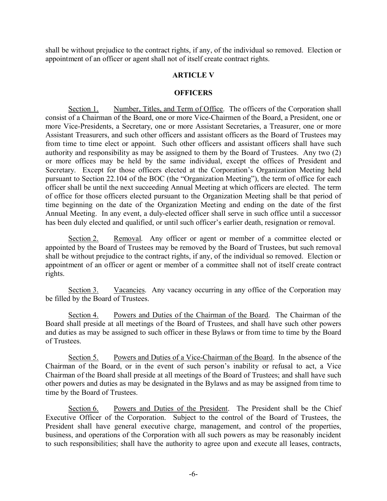shall be without prejudice to the contract rights, if any, of the individual so removed. Election or appointment of an officer or agent shall not of itself create contract rights.

### **ARTICLE V**

### **OFFICERS**

Section 1. Number, Titles, and Term of Office. The officers of the Corporation shall consist of a Chairman of the Board, one or more Vice-Chairmen of the Board, a President, one or more Vice-Presidents, a Secretary, one or more Assistant Secretaries, a Treasurer, one or more Assistant Treasurers, and such other officers and assistant officers as the Board of Trustees may from time to time elect or appoint. Such other officers and assistant officers shall have such authority and responsibility as may be assigned to them by the Board of Trustees. Any two (2) or more offices may be held by the same individual, except the offices of President and Secretary. Except for those officers elected at the Corporation's Organization Meeting held pursuant to Section 22.104 of the BOC (the "Organization Meeting"), the term of office for each officer shall be until the next succeeding Annual Meeting at which officers are elected. The term of office for those officers elected pursuant to the Organization Meeting shall be that period of time beginning on the date of the Organization Meeting and ending on the date of the first Annual Meeting. In any event, a duly-elected officer shall serve in such office until a successor has been duly elected and qualified, or until such officer's earlier death, resignation or removal.

Section 2. Removal. Any officer or agent or member of a committee elected or appointed by the Board of Trustees may be removed by the Board of Trustees, but such removal shall be without prejudice to the contract rights, if any, of the individual so removed. Election or appointment of an officer or agent or member of a committee shall not of itself create contract rights.

Section 3. Vacancies. Any vacancy occurring in any office of the Corporation may be filled by the Board of Trustees.

Section 4. Powers and Duties of the Chairman of the Board. The Chairman of the Board shall preside at all meetings of the Board of Trustees, and shall have such other powers and duties as may be assigned to such officer in these Bylaws or from time to time by the Board of Trustees.

Section 5. Powers and Duties of a Vice-Chairman of the Board. In the absence of the Chairman of the Board, or in the event of such person's inability or refusal to act, a Vice Chairman of the Board shall preside at all meetings of the Board of Trustees; and shall have such other powers and duties as may be designated in the Bylaws and as may be assigned from time to time by the Board of Trustees.

Section 6. Powers and Duties of the President. The President shall be the Chief Executive Officer of the Corporation. Subject to the control of the Board of Trustees, the President shall have general executive charge, management, and control of the properties, business, and operations of the Corporation with all such powers as may be reasonably incident to such responsibilities; shall have the authority to agree upon and execute all leases, contracts,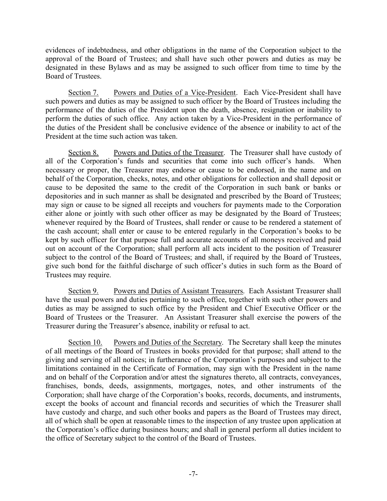evidences of indebtedness, and other obligations in the name of the Corporation subject to the approval of the Board of Trustees; and shall have such other powers and duties as may be designated in these Bylaws and as may be assigned to such officer from time to time by the Board of Trustees.

Section 7. Powers and Duties of a Vice-President. Each Vice-President shall have such powers and duties as may be assigned to such officer by the Board of Trustees including the performance of the duties of the President upon the death, absence, resignation or inability to perform the duties of such office. Any action taken by a Vice-President in the performance of the duties of the President shall be conclusive evidence of the absence or inability to act of the President at the time such action was taken.

Section 8. Powers and Duties of the Treasurer. The Treasurer shall have custody of all of the Corporation's funds and securities that come into such officer's hands. When necessary or proper, the Treasurer may endorse or cause to be endorsed, in the name and on behalf of the Corporation, checks, notes, and other obligations for collection and shall deposit or cause to be deposited the same to the credit of the Corporation in such bank or banks or depositories and in such manner as shall be designated and prescribed by the Board of Trustees; may sign or cause to be signed all receipts and vouchers for payments made to the Corporation either alone or jointly with such other officer as may be designated by the Board of Trustees; whenever required by the Board of Trustees, shall render or cause to be rendered a statement of the cash account; shall enter or cause to be entered regularly in the Corporation's books to be kept by such officer for that purpose full and accurate accounts of all moneys received and paid out on account of the Corporation; shall perform all acts incident to the position of Treasurer subject to the control of the Board of Trustees; and shall, if required by the Board of Trustees, give such bond for the faithful discharge of such officer's duties in such form as the Board of Trustees may require.

Section 9. Powers and Duties of Assistant Treasurers. Each Assistant Treasurer shall have the usual powers and duties pertaining to such office, together with such other powers and duties as may be assigned to such office by the President and Chief Executive Officer or the Board of Trustees or the Treasurer. An Assistant Treasurer shall exercise the powers of the Treasurer during the Treasurer's absence, inability or refusal to act.

Section 10. Powers and Duties of the Secretary. The Secretary shall keep the minutes of all meetings of the Board of Trustees in books provided for that purpose; shall attend to the giving and serving of all notices; in furtherance of the Corporation's purposes and subject to the limitations contained in the Certificate of Formation, may sign with the President in the name and on behalf of the Corporation and/or attest the signatures thereto, all contracts, conveyances, franchises, bonds, deeds, assignments, mortgages, notes, and other instruments of the Corporation; shall have charge of the Corporation's books, records, documents, and instruments, except the books of account and financial records and securities of which the Treasurer shall have custody and charge, and such other books and papers as the Board of Trustees may direct, all of which shall be open at reasonable times to the inspection of any trustee upon application at the Corporation's office during business hours; and shall in general perform all duties incident to the office of Secretary subject to the control of the Board of Trustees.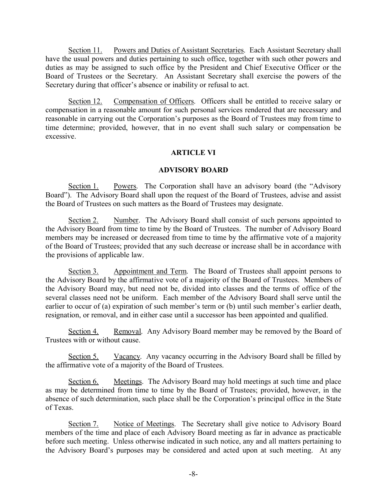Section 11. Powers and Duties of Assistant Secretaries. Each Assistant Secretary shall have the usual powers and duties pertaining to such office, together with such other powers and duties as may be assigned to such office by the President and Chief Executive Officer or the Board of Trustees or the Secretary. An Assistant Secretary shall exercise the powers of the Secretary during that officer's absence or inability or refusal to act.

Section 12. Compensation of Officers. Officers shall be entitled to receive salary or compensation in a reasonable amount for such personal services rendered that are necessary and reasonable in carrying out the Corporation's purposes as the Board of Trustees may from time to time determine; provided, however, that in no event shall such salary or compensation be excessive.

### **ARTICLE VI**

### **ADVISORY BOARD**

Section 1. Powers. The Corporation shall have an advisory board (the "Advisory Board"). The Advisory Board shall upon the request of the Board of Trustees, advise and assist the Board of Trustees on such matters as the Board of Trustees may designate.

Section 2. Number. The Advisory Board shall consist of such persons appointed to the Advisory Board from time to time by the Board of Trustees. The number of Advisory Board members may be increased or decreased from time to time by the affirmative vote of a majority of the Board of Trustees; provided that any such decrease or increase shall be in accordance with the provisions of applicable law.

Section 3. Appointment and Term. The Board of Trustees shall appoint persons to the Advisory Board by the affirmative vote of a majority of the Board of Trustees. Members of the Advisory Board may, but need not be, divided into classes and the terms of office of the several classes need not be uniform. Each member of the Advisory Board shall serve until the earlier to occur of (a) expiration of such member's term or (b) until such member's earlier death, resignation, or removal, and in either case until a successor has been appointed and qualified.

Section 4. Removal. Any Advisory Board member may be removed by the Board of Trustees with or without cause.

Section 5. Vacancy. Any vacancy occurring in the Advisory Board shall be filled by the affirmative vote of a majority of the Board of Trustees.

Section 6. Meetings. The Advisory Board may hold meetings at such time and place as may be determined from time to time by the Board of Trustees; provided, however, in the absence of such determination, such place shall be the Corporation's principal office in the State of Texas.

Section 7. Notice of Meetings. The Secretary shall give notice to Advisory Board members of the time and place of each Advisory Board meeting as far in advance as practicable before such meeting. Unless otherwise indicated in such notice, any and all matters pertaining to the Advisory Board's purposes may be considered and acted upon at such meeting. At any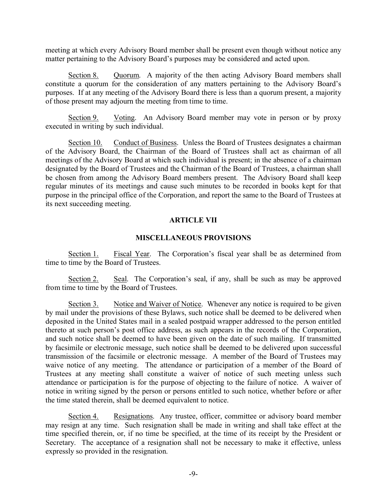meeting at which every Advisory Board member shall be present even though without notice any matter pertaining to the Advisory Board's purposes may be considered and acted upon.

Section 8. Quorum. A majority of the then acting Advisory Board members shall constitute a quorum for the consideration of any matters pertaining to the Advisory Board's purposes. If at any meeting of the Advisory Board there is less than a quorum present, a majority of those present may adjourn the meeting from time to time.

Section 9. Voting. An Advisory Board member may vote in person or by proxy executed in writing by such individual.

Section 10. Conduct of Business. Unless the Board of Trustees designates a chairman of the Advisory Board, the Chairman of the Board of Trustees shall act as chairman of all meetings of the Advisory Board at which such individual is present; in the absence of a chairman designated by the Board of Trustees and the Chairman of the Board of Trustees, a chairman shall be chosen from among the Advisory Board members present. The Advisory Board shall keep regular minutes of its meetings and cause such minutes to be recorded in books kept for that purpose in the principal office of the Corporation, and report the same to the Board of Trustees at its next succeeding meeting.

# **ARTICLE VII**

### **MISCELLANEOUS PROVISIONS**

Section 1. Fiscal Year. The Corporation's fiscal year shall be as determined from time to time by the Board of Trustees.

Section 2. Seal. The Corporation's seal, if any, shall be such as may be approved from time to time by the Board of Trustees.

Section 3. Notice and Waiver of Notice. Whenever any notice is required to be given by mail under the provisions of these Bylaws, such notice shall be deemed to be delivered when deposited in the United States mail in a sealed postpaid wrapper addressed to the person entitled thereto at such person's post office address, as such appears in the records of the Corporation, and such notice shall be deemed to have been given on the date of such mailing. If transmitted by facsimile or electronic message, such notice shall be deemed to be delivered upon successful transmission of the facsimile or electronic message. A member of the Board of Trustees may waive notice of any meeting. The attendance or participation of a member of the Board of Trustees at any meeting shall constitute a waiver of notice of such meeting unless such attendance or participation is for the purpose of objecting to the failure of notice. A waiver of notice in writing signed by the person or persons entitled to such notice, whether before or after the time stated therein, shall be deemed equivalent to notice.

Section 4. Resignations. Any trustee, officer, committee or advisory board member may resign at any time. Such resignation shall be made in writing and shall take effect at the time specified therein, or, if no time be specified, at the time of its receipt by the President or Secretary. The acceptance of a resignation shall not be necessary to make it effective, unless expressly so provided in the resignation.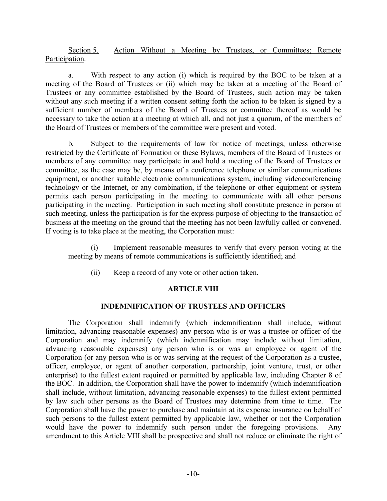Section 5. Action Without a Meeting by Trustees, or Committees; Remote Participation.

a. With respect to any action (i) which is required by the BOC to be taken at a meeting of the Board of Trustees or (ii) which may be taken at a meeting of the Board of Trustees or any committee established by the Board of Trustees, such action may be taken without any such meeting if a written consent setting forth the action to be taken is signed by a sufficient number of members of the Board of Trustees or committee thereof as would be necessary to take the action at a meeting at which all, and not just a quorum, of the members of the Board of Trustees or members of the committee were present and voted.

b. Subject to the requirements of law for notice of meetings, unless otherwise restricted by the Certificate of Formation or these Bylaws, members of the Board of Trustees or members of any committee may participate in and hold a meeting of the Board of Trustees or committee, as the case may be, by means of a conference telephone or similar communications equipment, or another suitable electronic communications system, including videoconferencing technology or the Internet, or any combination, if the telephone or other equipment or system permits each person participating in the meeting to communicate with all other persons participating in the meeting. Participation in such meeting shall constitute presence in person at such meeting, unless the participation is for the express purpose of objecting to the transaction of business at the meeting on the ground that the meeting has not been lawfully called or convened. If voting is to take place at the meeting, the Corporation must:

(i) Implement reasonable measures to verify that every person voting at the meeting by means of remote communications is sufficiently identified; and

(ii) Keep a record of any vote or other action taken.

# **ARTICLE VIII**

### **INDEMNIFICATION OF TRUSTEES AND OFFICERS**

The Corporation shall indemnify (which indemnification shall include, without limitation, advancing reasonable expenses) any person who is or was a trustee or officer of the Corporation and may indemnify (which indemnification may include without limitation, advancing reasonable expenses) any person who is or was an employee or agent of the Corporation (or any person who is or was serving at the request of the Corporation as a trustee, officer, employee, or agent of another corporation, partnership, joint venture, trust, or other enterprise) to the fullest extent required or permitted by applicable law, including Chapter 8 of the BOC. In addition, the Corporation shall have the power to indemnify (which indemnification shall include, without limitation, advancing reasonable expenses) to the fullest extent permitted by law such other persons as the Board of Trustees may determine from time to time. The Corporation shall have the power to purchase and maintain at its expense insurance on behalf of such persons to the fullest extent permitted by applicable law, whether or not the Corporation would have the power to indemnify such person under the foregoing provisions. Any amendment to this Article VIII shall be prospective and shall not reduce or eliminate the right of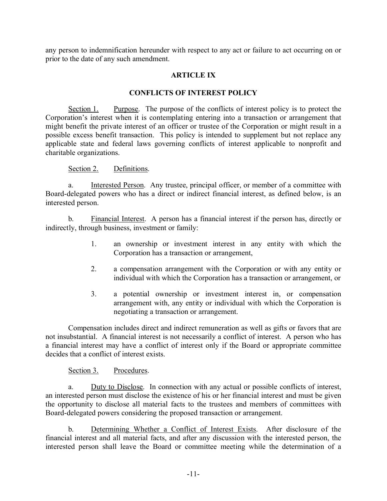any person to indemnification hereunder with respect to any act or failure to act occurring on or prior to the date of any such amendment.

# **ARTICLE IX**

# **CONFLICTS OF INTEREST POLICY**

Section 1. Purpose. The purpose of the conflicts of interest policy is to protect the Corporation's interest when it is contemplating entering into a transaction or arrangement that might benefit the private interest of an officer or trustee of the Corporation or might result in a possible excess benefit transaction. This policy is intended to supplement but not replace any applicable state and federal laws governing conflicts of interest applicable to nonprofit and charitable organizations.

### Section 2. Definitions.

a. Interested Person. Any trustee, principal officer, or member of a committee with Board-delegated powers who has a direct or indirect financial interest, as defined below, is an interested person.

b. Financial Interest. A person has a financial interest if the person has, directly or indirectly, through business, investment or family:

- 1. an ownership or investment interest in any entity with which the Corporation has a transaction or arrangement,
- 2. a compensation arrangement with the Corporation or with any entity or individual with which the Corporation has a transaction or arrangement, or
- 3. a potential ownership or investment interest in, or compensation arrangement with, any entity or individual with which the Corporation is negotiating a transaction or arrangement.

Compensation includes direct and indirect remuneration as well as gifts or favors that are not insubstantial. A financial interest is not necessarily a conflict of interest. A person who has a financial interest may have a conflict of interest only if the Board or appropriate committee decides that a conflict of interest exists.

# Section 3. Procedures.

a. Duty to Disclose. In connection with any actual or possible conflicts of interest, an interested person must disclose the existence of his or her financial interest and must be given the opportunity to disclose all material facts to the trustees and members of committees with Board-delegated powers considering the proposed transaction or arrangement.

b. Determining Whether a Conflict of Interest Exists. After disclosure of the financial interest and all material facts, and after any discussion with the interested person, the interested person shall leave the Board or committee meeting while the determination of a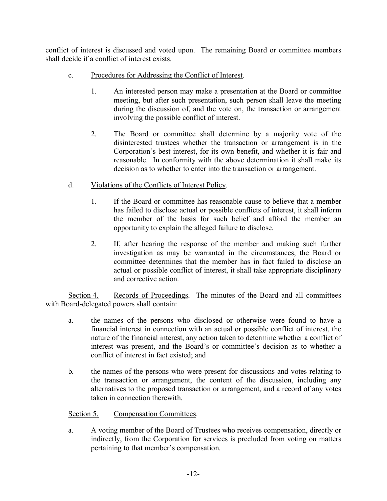conflict of interest is discussed and voted upon. The remaining Board or committee members shall decide if a conflict of interest exists.

- c. Procedures for Addressing the Conflict of Interest.
	- 1. An interested person may make a presentation at the Board or committee meeting, but after such presentation, such person shall leave the meeting during the discussion of, and the vote on, the transaction or arrangement involving the possible conflict of interest.
	- 2. The Board or committee shall determine by a majority vote of the disinterested trustees whether the transaction or arrangement is in the Corporation's best interest, for its own benefit, and whether it is fair and reasonable. In conformity with the above determination it shall make its decision as to whether to enter into the transaction or arrangement.
- d. Violations of the Conflicts of Interest Policy.
	- 1. If the Board or committee has reasonable cause to believe that a member has failed to disclose actual or possible conflicts of interest, it shall inform the member of the basis for such belief and afford the member an opportunity to explain the alleged failure to disclose.
	- 2. If, after hearing the response of the member and making such further investigation as may be warranted in the circumstances, the Board or committee determines that the member has in fact failed to disclose an actual or possible conflict of interest, it shall take appropriate disciplinary and corrective action.

Section 4. Records of Proceedings. The minutes of the Board and all committees with Board-delegated powers shall contain:

- a. the names of the persons who disclosed or otherwise were found to have a financial interest in connection with an actual or possible conflict of interest, the nature of the financial interest, any action taken to determine whether a conflict of interest was present, and the Board's or committee's decision as to whether a conflict of interest in fact existed; and
- b. the names of the persons who were present for discussions and votes relating to the transaction or arrangement, the content of the discussion, including any alternatives to the proposed transaction or arrangement, and a record of any votes taken in connection therewith.

### Section 5. Compensation Committees.

a. A voting member of the Board of Trustees who receives compensation, directly or indirectly, from the Corporation for services is precluded from voting on matters pertaining to that member's compensation.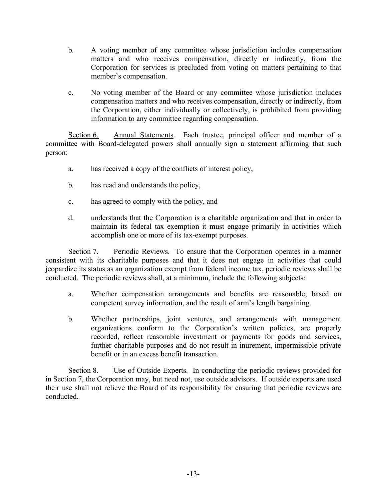- b. A voting member of any committee whose jurisdiction includes compensation matters and who receives compensation, directly or indirectly, from the Corporation for services is precluded from voting on matters pertaining to that member's compensation.
- c. No voting member of the Board or any committee whose jurisdiction includes compensation matters and who receives compensation, directly or indirectly, from the Corporation, either individually or collectively, is prohibited from providing information to any committee regarding compensation.

Section 6. Annual Statements. Each trustee, principal officer and member of a committee with Board-delegated powers shall annually sign a statement affirming that such person:

- a. has received a copy of the conflicts of interest policy,
- b. has read and understands the policy,
- c. has agreed to comply with the policy, and
- d. understands that the Corporation is a charitable organization and that in order to maintain its federal tax exemption it must engage primarily in activities which accomplish one or more of its tax-exempt purposes.

Section 7. Periodic Reviews. To ensure that the Corporation operates in a manner consistent with its charitable purposes and that it does not engage in activities that could jeopardize its status as an organization exempt from federal income tax, periodic reviews shall be conducted. The periodic reviews shall, at a minimum, include the following subjects:

- a. Whether compensation arrangements and benefits are reasonable, based on competent survey information, and the result of arm's length bargaining.
- b. Whether partnerships, joint ventures, and arrangements with management organizations conform to the Corporation's written policies, are properly recorded, reflect reasonable investment or payments for goods and services, further charitable purposes and do not result in inurement, impermissible private benefit or in an excess benefit transaction.

Section 8. Use of Outside Experts. In conducting the periodic reviews provided for in Section 7, the Corporation may, but need not, use outside advisors. If outside experts are used their use shall not relieve the Board of its responsibility for ensuring that periodic reviews are conducted.